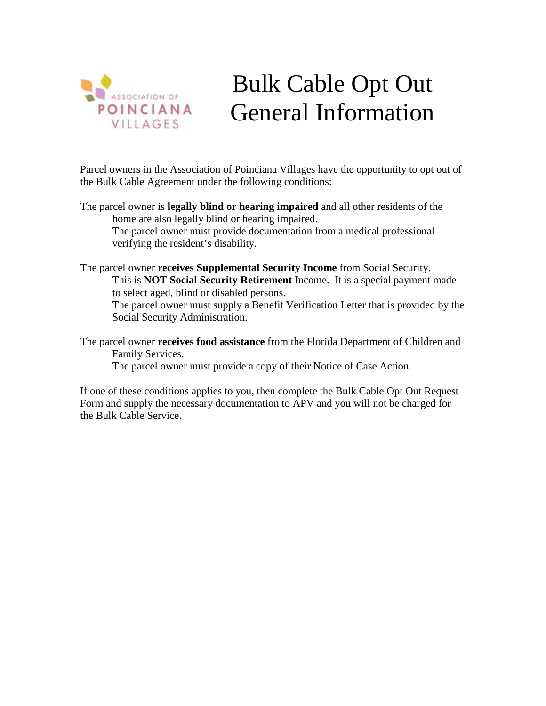

## Bulk Cable Opt Out General Information

Parcel owners in the Association of Poinciana Villages have the opportunity to opt out of the Bulk Cable Agreement under the following conditions:

- The parcel owner is **legally blind or hearing impaired** and all other residents of the home are also legally blind or hearing impaired. The parcel owner must provide documentation from a medical professional verifying the resident's disability.
- The parcel owner **receives Supplemental Security Income** from Social Security. This is **NOT Social Security Retirement** Income. It is a special payment made to select aged, blind or disabled persons. The parcel owner must supply a Benefit Verification Letter that is provided by the Social Security Administration.
- The parcel owner **receives food assistance** from the Florida Department of Children and Family Services.

The parcel owner must provide a copy of their Notice of Case Action.

If one of these conditions applies to you, then complete the Bulk Cable Opt Out Request Form and supply the necessary documentation to APV and you will not be charged for the Bulk Cable Service.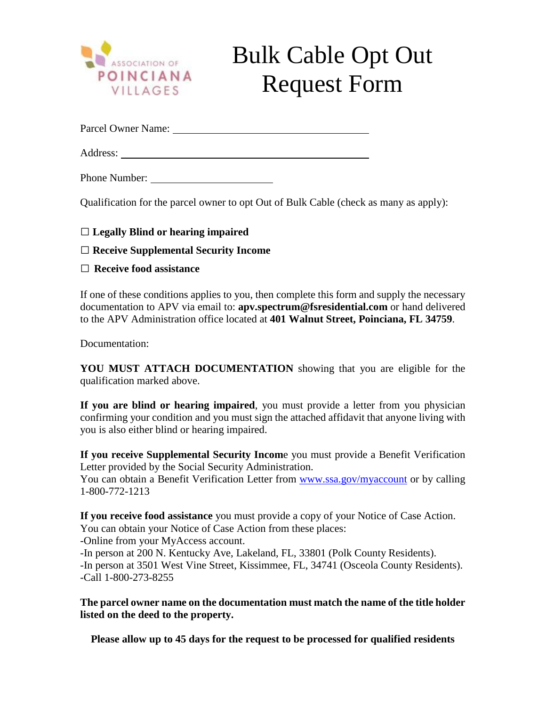

## Bulk Cable Opt Out Request Form

Parcel Owner Name:

Address:

Phone Number:

Qualification for the parcel owner to opt Out of Bulk Cable (check as many as apply):

□ **Legally Blind or hearing impaired**

□ **Receive Supplemental Security Income**

□ **Receive food assistance**

If one of these conditions applies to you, then complete this form and supply the necessary documentation to APV via email to: **apv.spectrum@fsresidential.com** or hand delivered to the APV Administration office located at **401 Walnut Street, Poinciana, FL 34759**.

Documentation:

**YOU MUST ATTACH DOCUMENTATION** showing that you are eligible for the qualification marked above.

**If you are blind or hearing impaired**, you must provide a letter from you physician confirming your condition and you must sign the attached affidavit that anyone living with you is also either blind or hearing impaired.

**If you receive Supplemental Security Incom**e you must provide a Benefit Verification Letter provided by the Social Security Administration.

You can obtain a Benefit Verification Letter from [www.ssa.gov/myaccount](http://www.ssa.gov/myaccount) or by calling 1-800-772-1213

**If you receive food assistance** you must provide a copy of your Notice of Case Action. You can obtain your Notice of Case Action from these places: -Online from your MyAccess account.

-In person at 200 N. Kentucky Ave, Lakeland, FL, 33801 (Polk County Residents). -In person at 3501 West Vine Street, Kissimmee, FL, 34741 (Osceola County Residents). -Call 1-800-273-8255

**The parcel owner name on the documentation must match the name of the title holder listed on the deed to the property.**

**Please allow up to 45 days for the request to be processed for qualified residents**